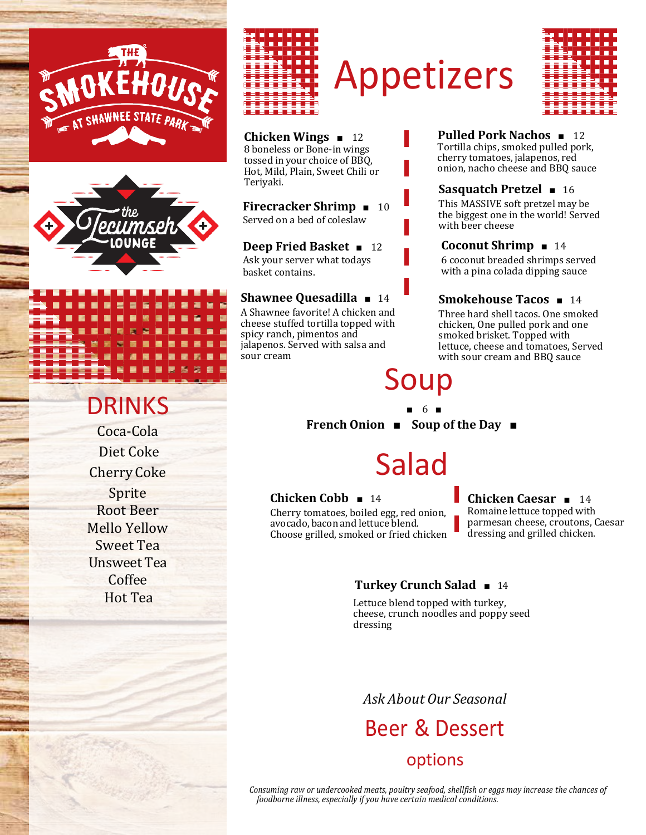



### **DRINKS**

Coca-Cola Diet Coke Cherry Coke Sprite Root Beer Mello Yellow Sweet Tea Unsweet Tea Coffee Hot Tea



# Appetizers



**Chicken Wings** ■ 12 8 boneless or Bone-in wings tossed in your choice of BBQ, Hot, Mild, Plain, Sweet Chili or Teriyaki.

**Firecracker Shrimp** ■ 10 Served on a bed of coleslaw

**Deep Fried Basket** ■ 12 Ask your server what todays basket contains.

#### **Shawnee Quesadilla** ■ 14

A Shawnee favorite! A chicken and cheese stuffed tortilla topped with spicy ranch, pimentos and jalapenos. Served with salsa and sour cream

### Soup

■ 6 ■

**French Onion** ■ **Soup of the Day** ■

## Salad

#### **Chicken Cobb** ■ 14

Cherry tomatoes, boiled egg, red onion, avocado, bacon and lettuce blend. Choose grilled, smoked or fried chicken

#### **Chicken Caesar** ■ 14

**Sasquatch Pretzel** ■ 16 This MASSIVE soft pretzel may be the biggest one in the world! Served

**Pulled Pork Nachos** ■ 12 Tortilla chips, smoked pulled pork, cherry tomatoes, jalapenos, red onion, nacho cheese and BBQ sauce

**Coconut Shrimp** ■ 14

6 coconut breaded shrimps served with a pina colada dipping sauce

**Smokehouse Tacos** ■ 14 Three hard shell tacos. One smoked chicken, One pulled pork and one smoked brisket. Topped with lettuce, cheese and tomatoes, Served with sour cream and BBQ sauce

with beer cheese

Romaine lettuce topped with parmesan cheese, croutons, Caesar dressing and grilled chicken.

#### **Turkey Crunch Salad** ■ 14

Lettuce blend topped with turkey, cheese, crunch noodles and poppy seed dressing

### *Ask About Our Seasonal*

### Beer & Dessert options

*Consuming raw or undercooked meats, poultry seafood, shellfish or eggs may increase the chances of foodborne illness, especially if you have certain medical conditions.*